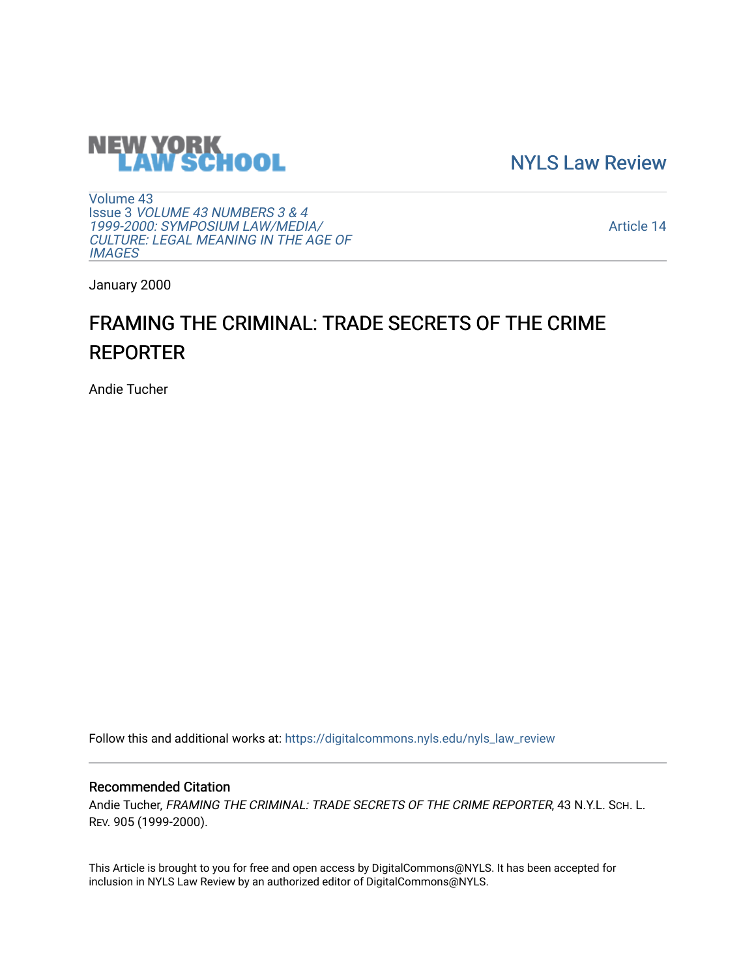

[NYLS Law Review](https://digitalcommons.nyls.edu/nyls_law_review) 

[Volume 43](https://digitalcommons.nyls.edu/nyls_law_review/vol43) Issue 3 [VOLUME 43 NUMBERS 3 & 4](https://digitalcommons.nyls.edu/nyls_law_review/vol43/iss3)  [1999-2000: SYMPOSIUM LAW/MEDIA/](https://digitalcommons.nyls.edu/nyls_law_review/vol43/iss3) [CULTURE: LEGAL MEANING IN THE AGE OF](https://digitalcommons.nyls.edu/nyls_law_review/vol43/iss3) **[IMAGES](https://digitalcommons.nyls.edu/nyls_law_review/vol43/iss3)** 

[Article 14](https://digitalcommons.nyls.edu/nyls_law_review/vol43/iss3/14) 

January 2000

# FRAMING THE CRIMINAL: TRADE SECRETS OF THE CRIME REPORTER

Andie Tucher

Follow this and additional works at: [https://digitalcommons.nyls.edu/nyls\\_law\\_review](https://digitalcommons.nyls.edu/nyls_law_review?utm_source=digitalcommons.nyls.edu%2Fnyls_law_review%2Fvol43%2Fiss3%2F14&utm_medium=PDF&utm_campaign=PDFCoverPages) 

## Recommended Citation

Andie Tucher, FRAMING THE CRIMINAL: TRADE SECRETS OF THE CRIME REPORTER, 43 N.Y.L. Sch. L. REV. 905 (1999-2000).

This Article is brought to you for free and open access by DigitalCommons@NYLS. It has been accepted for inclusion in NYLS Law Review by an authorized editor of DigitalCommons@NYLS.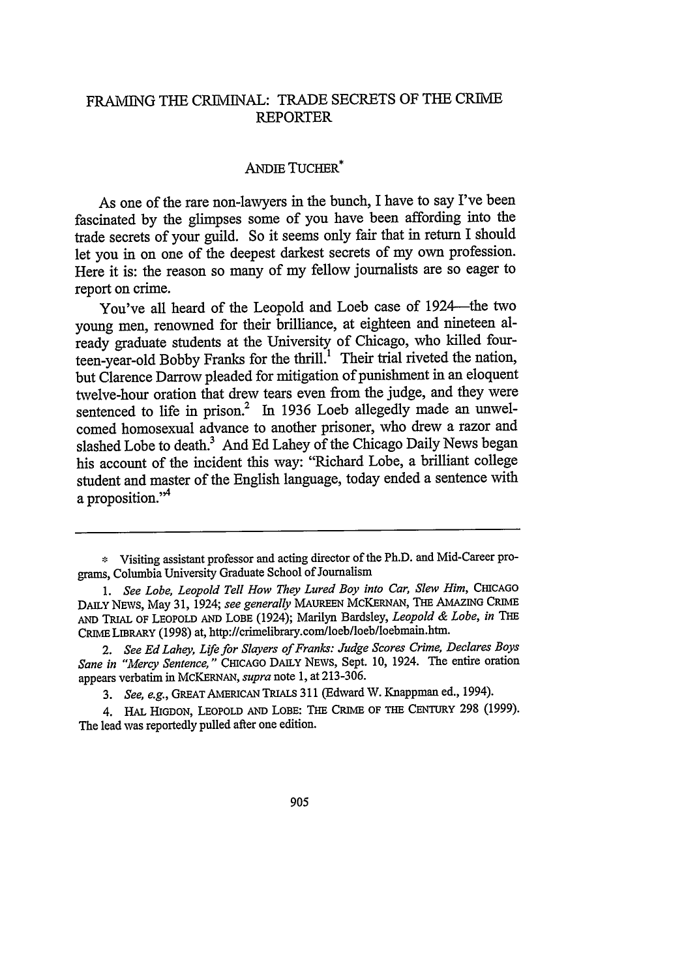## FRAMING THE CRIMINAL: TRADE SECRETS OF THE CRIME REPORTER

### ANDE TUCHER\*

As one of the rare non-lawyers in the bunch, I have to say I've been fascinated by the glimpses some of you have been affording into the trade secrets of your guild. So it seems only fair that in return I should let you in on one of the deepest darkest secrets of my own profession. Here it is: the reason so many of my fellow journalists are so eager to report on crime.

You've all heard of the Leopold and Loeb case of 1924-the two young men, renowned for their brilliance, at eighteen and nineteen already graduate students at the University of Chicago, who killed fourteen-year-old Bobby Franks for the thrill.<sup>1</sup> Their trial riveted the nation, but Clarence Darrow pleaded for mitigation of punishment in an eloquent twelve-hour oration that drew tears even from the judge, and they were sentenced to life in prison.<sup>2</sup> In 1936 Loeb allegedly made an unwelcomed homosexual advance to another prisoner, who drew a razor and slashed Lobe to death.<sup>3</sup> And Ed Lahey of the Chicago Daily News began his account of the incident this way: "Richard Lobe, a brilliant college student and master of the English language, today ended a sentence with a proposition."<sup>4</sup>

**<sup>\*</sup>** Visiting assistant professor and acting director of the Ph.D. and Mid-Career programs, Columbia University Graduate School of Journalism

<sup>1.</sup> See Lobe, Leopold Tell How They Lured Boy into Car, Slew Him, CHICAGO DAILY NEWS, May 31, 1924; *see generally* MAUREEN **McKERNAN,** THE **AMAZING** CRIME **AND TRIAL** OF LEOPOLD **AND** LOBE (1924); Marilyn Bardsley, *Leopold & Lobe, in* **THE** CRIME LIBRARY (1998) at, http://crimelibrary.com/loeb/loeb/loebmain.htm.

*<sup>2.</sup> See Ed Lahey, Life for Slayers of Franks: Judge Scores Crime, Declares Boys* Sane in "Mercy Sentence," CHICAGO DAILY NEWS, Sept. 10, 1924. The entire oration appears verbatim in **MCKERNAN,** *supra* note 1, at 213-306.

*<sup>3.</sup> See, e.g.,* GREAT AMERICAN **TRIALs** 311 (Edward W. Knappman ed., 1994).

<sup>4.</sup> **HAL HIGDON,** LEOPOLD **AND** LOBE: **THE** CRIME OF **THE CENTURY** 298 (1999). The lead was reportedly pulled after one edition.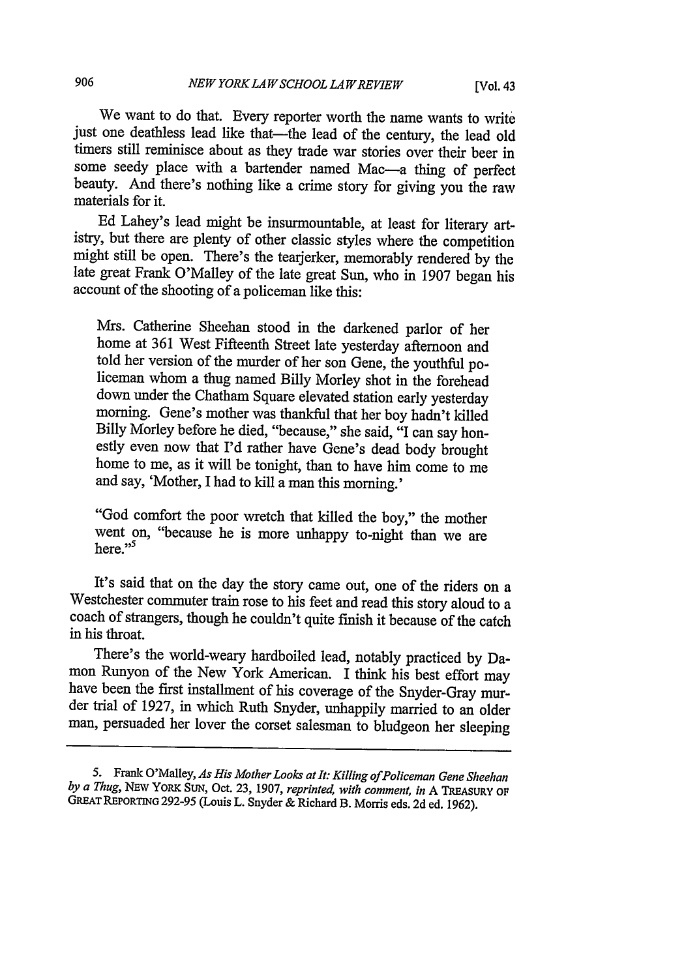We want to do that. Every reporter worth the name wants to write just one deathless lead like that-the lead of the century, the lead old timers still reminisce about as they trade war stories over their beer in some seedy place with a bartender named Mac—a thing of perfect beauty. And there's nothing like a crime story for giving you the raw materials for it.

Ed Lahey's lead might be insurmountable, at least for literary artmight still be open. There's the tearjerker, memorably rendered by the late great Frank O'Malley of the late great Sun, who in 1907 began his account of the shooting of a policeman like this:

Mrs. Catherine Sheehan stood in the darkened parlor of her home at 361 West Fifteenth Street late yesterday afternoon and told her version of the murder of her son Gene, the youthful po-<br>liceman whom a thug named Billy Morley shot in the forehead<br>down under the Chatham Square elevated station early yesterday morning. Gene's mother was thankful that her boy hadn't killed Billy Morley before he died, "because," she said, "I can say honestly even now that I'd rather have Gene's dead body brought home to me, as it will be tonight, than to have him come to me and say, 'Mother, I had to kill a man this morning.'

"God comfort the poor wretch that killed the boy," the mother went on, "because he is more unhappy to-night than we are here."<sup>5</sup>

It's said that on the day the story came out, one of the riders on a Westchester commuter train rose to his feet and read this story aloud to a coach of strangers, though he couldn't quite finish it because of the catch in his throat.

There's the world-weary hardboiled lead, notably practiced by Da-mon Runyon of the New York American. I think his best effort may have been the first installment of his coverage of the Snyder-Gray murder trial of 1927, in which Ruth Snyder, unhappily married to an older man, persuaded her lover the corset salesman to bludgeon her sleeping

<sup>5.</sup> Frank O'Malley, *As His Mother Looks at It: Killing ofPoliceman Gene Sheehan by a Thug,* NEw YORK SUN, Oct. 23, 1907, *reprinted, with* comment, *in* A TREASURY OF GREAT **REPORTiNG** 292-95 (Louis L. Snyder & Richard B. Morris eds. 2d ed. 1962).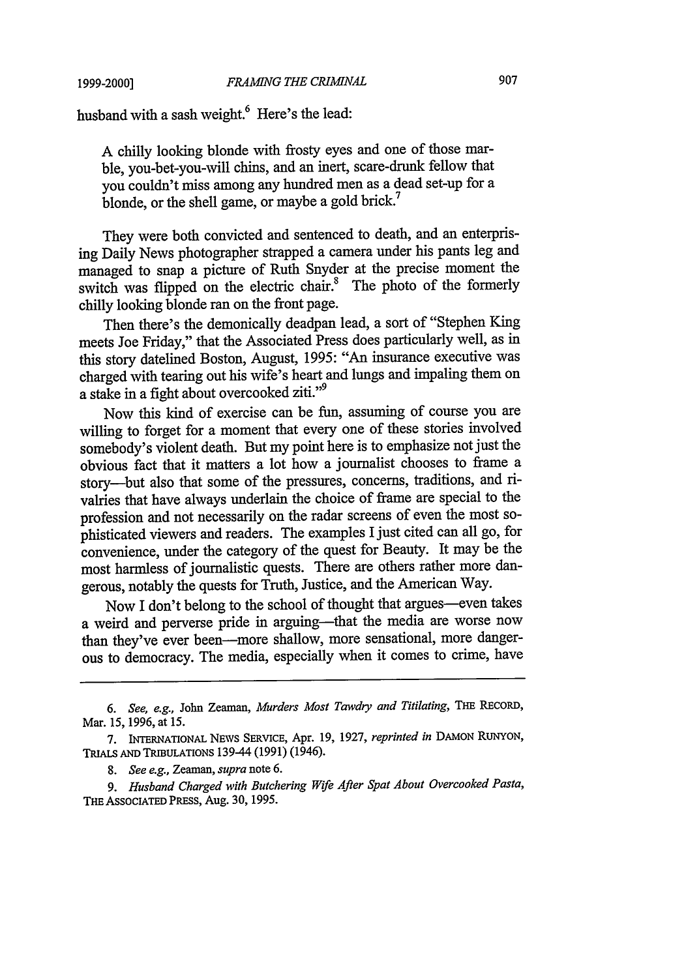#### *FRAMING THE CRIMINAL*

husband with a sash weight.<sup>6</sup> Here's the lead:

A chilly looking blonde with frosty eyes and one of those marble, you-bet-you-will chins, and an inert, scare-drunk fellow that you couldn't miss among any hundred men as a dead set-up for a blonde, or the shell game, or maybe a gold brick.<sup>7</sup>

They were both convicted and sentenced to death, and an enterprising Daily News photographer strapped a camera under his pants leg and managed to snap a picture of Ruth Snyder at the precise moment the switch was flipped on the electric chair.<sup>8</sup> The photo of the formerly chilly looking blonde ran on the front page.

Then there's the demonically deadpan lead, a sort of "Stephen King meets Joe Friday," that the Associated Press does particularly well, as in this story datelined Boston, August, 1995: "An insurance executive was charged with tearing out his wife's heart and lungs and impaling them on a stake in a fight about overcooked ziti."<sup>9</sup>

Now this kind of exercise can be fun, assuming of course you are willing to forget for a moment that every one of these stories involved somebody's violent death. But my point here is to emphasize not just the obvious fact that it matters a lot how a journalist chooses to frame a story-but also that some of the pressures, concerns, traditions, and rivalries that have always underlain the choice of frame are special to the profession and not necessarily on the radar screens of even the most sophisticated viewers and readers. The examples I just cited can all go, for convenience, under the category of the quest for Beauty. It may be the most harmless of journalistic quests. There are others rather more dangerous, notably the quests for Truth, Justice, and the American Way.

Now I don't belong to the school of thought that argues-even takes a weird and perverse pride in arguing-that the media are worse now than they've ever been---more shallow, more sensational, more dangerous to democracy. The media, especially when it comes to crime, have

**<sup>6.</sup>** See, e.g., John Zeaman, *Murders Most Tawdry and Titilating,* **THE** RECORD, Mar. 15, 1996, at 15.

<sup>7.</sup> INTERNATIONAL **NEWS** SERVICE, Apr. **19,** 1927, *reprinted in* **DAMON RUNYON,** TRIALS **AND** TRIBULATIONS 139-44 (1991) (1946).

**<sup>8.</sup>** *See e.g., Zeaman, supra* note 6.

*<sup>9.</sup> Husband Charged with Butchering Wife After Spat About Overcooked Pasta,* **THE** ASSOCIATED PRESS, Aug. 30, 1995.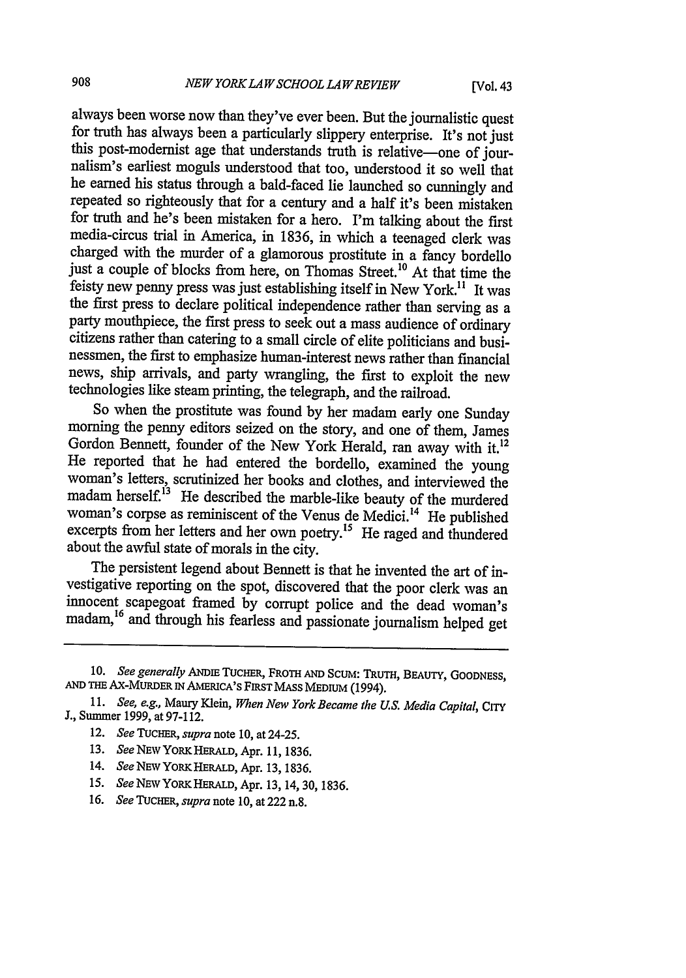always been worse now than they've ever been. But the journalistic quest<br>for truth has always been a particularly slippery enterprise. It's not just<br>this post-modernist age that understands truth is relative—one of journal he earned his status through a bald-faced lie launched so cunningly and repeated so righteously that for a century and a half it's been mistaken for truth and he's been mistaken for a hero. I'm talking about the first media-circus trial in America, in 1836, in which a teenaged clerk was charged with the murder of a glamorous prostitute in a fancy bordello just a couple of blocks from here, on Thomas Street.<sup>10</sup> At that time the feisty new penny press was just establishing itself in New York." It was the first press to declare political independence rather than serving as a party mouthpiece, the first press to seek out a mass audience of ordinary citizens rather than catering to a small circle of elite politicians and businessmen, the first to emphasize human-interest news rather than financial news, ship arrivals, and party wrangling, the first to exploit the new technologies like steam printing, the telegraph, and the railroad.

So when the prostitute was found by her madam early one Sunday morning the penny editors seized on the story, and one of them, James Gordon Bennett, founder of the New York Herald, ran away with it.<sup>12</sup> He reported that he had entered the bordello, examined the young woman's letters, scrutinized her books and clothes, and interviewed the madam herself.<sup>13</sup> He described the marble-like beauty of the murdered woman's corpse as reminiscent of the Venus de Medici.<sup>14</sup> He published excerpts from her letters and her own poetry.<sup>15</sup> He raged and thundered about the awful state of morals in the city.

The persistent legend about Bennett is that he invented the art of investigative reporting on the spot, discovered that the poor clerk was an innocent scapegoat framed by corrupt police and the dead woman's madam, 16 and through his fearless and passionate journalism helped get

- 12. *See TUCHER, supra note* **10,** at 24-25.
- 13. *See* **NEW** YORK HERALD, Apr. 11, 1836.
- 14. *See NEW* YORK HERALD, Apr. 13, 1836.
- *15.* See **NEw** YORKHERALD, Apr. 13, 14,30, 1836.
- *16. See TUCHER, supra note* 10, at 222 n.8.

**<sup>10.</sup>** *See generally* ANDiE TucHER, **FROTH AND** SCUM: TRUTH, BEAUTY, **GOODNESS, AND THE** AX-MUDER IN AMERiCA'S **FIRST MASS MEDIUM** (1994).

<sup>11.</sup> *See, e.g.,* Maury Klein, *When New York Became the U.S. Media Capital,* CITY J., Summer 1999, at 97-112.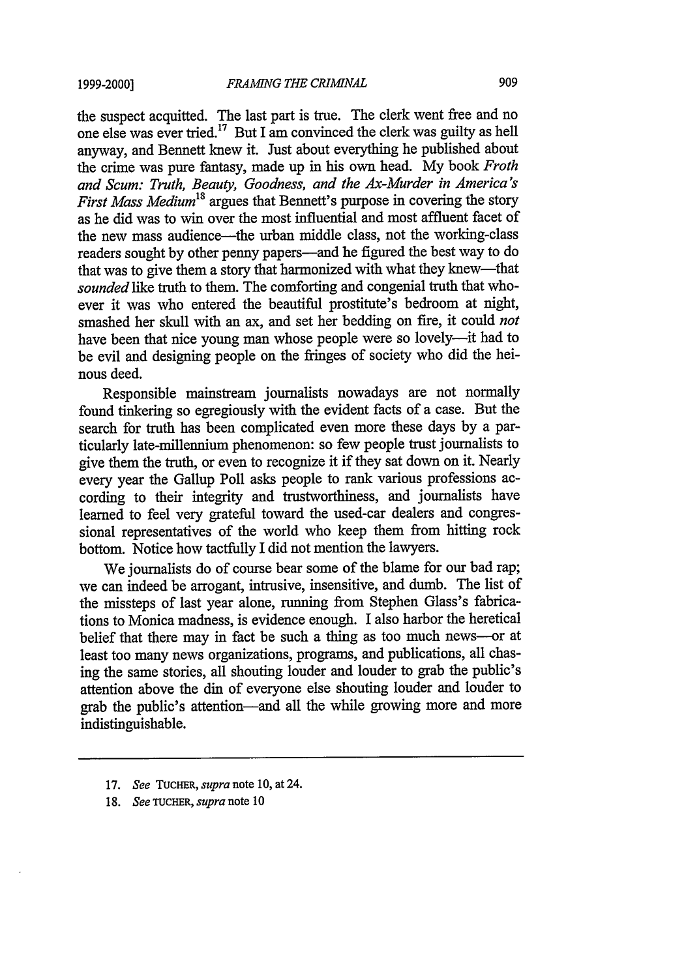the suspect acquitted. The last part is true. The clerk went free and no one else was ever tried.<sup>17</sup> But I am convinced the clerk was guilty as hell anyway, and Bennett knew it. Just about everything he published about the crime was pure fantasy, made up in his own head. My book *Froth and Scum: Truth, Beauty, Goodness, and the Ax-Murder in America's First Mass Medium*<sup>18</sup> argues that Bennett's purpose in covering the story as he did was to win over the most influential and most affluent facet of the new mass audience-the urban middle class, not the working-class readers sought by other penny papers-and he figured the best way to do that was to give them a story that harmonized with what they knew-that *sounded* like truth to them. The comforting and congenial truth that whoever it was who entered the beautiful prostitute's bedroom at night, smashed her skull with an ax, and set her bedding on fire, it could *not* have been that nice young man whose people were so lovely—it had to be evil and designing people on the fringes of society who did the heinous deed.

Responsible mainstream journalists nowadays are not normally found tinkering so egregiously with the evident facts of a case. But the search for truth has been complicated even more these days by a particularly late-millennium phenomenon: so few people trust journalists to give them the truth, or even to recognize it if they sat down on it. Nearly every year the Gallup Poll asks people to rank various professions according to their integrity and trustworthiness, and journalists have learned to feel very grateful toward the used-car dealers and congressional representatives of the world who keep them from hitting rock bottom. Notice how tactfully I did not mention the lawyers.

We journalists do of course bear some of the blame for our bad rap; we can indeed be arrogant, intrusive, insensitive, and dumb. The list of the missteps of last year alone, running from Stephen Glass's fabrications to Monica madness, is evidence enough. I also harbor the heretical belief that there may in fact be such a thing as too much news--or at least too many news organizations, programs, and publications, all chasing the same stories, all shouting louder and louder to grab the public's attention above the din of everyone else shouting louder and louder to grab the public's attention-and all the while growing more and more indistinguishable.

- 17. *See* TUCHER, *supra* note 10, at 24.
- 18. *See* TUCHER, *supra* note 10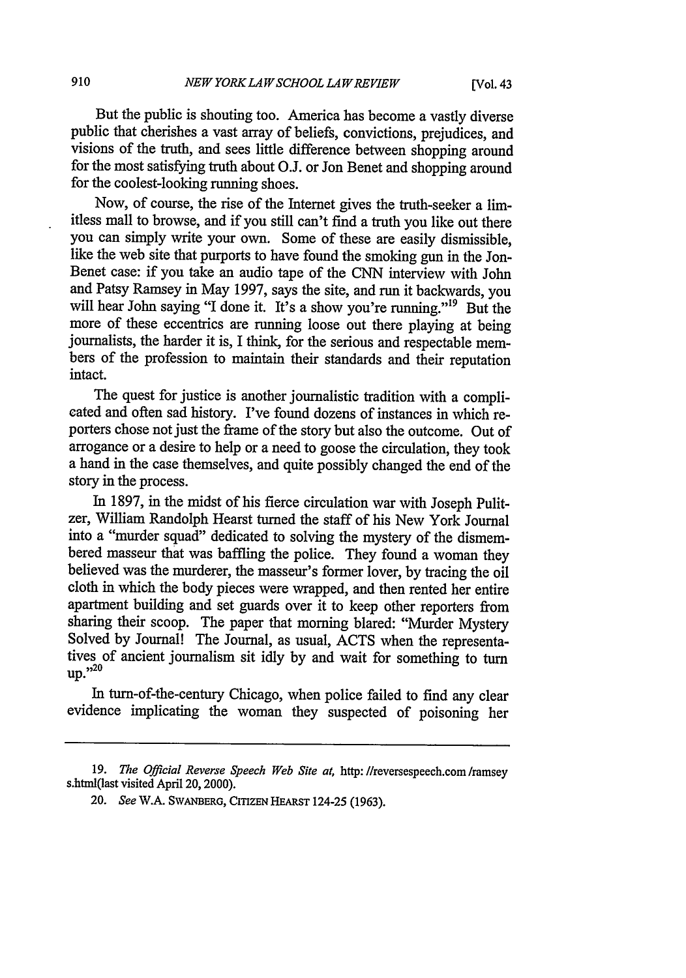But the public is shouting too. America has become a vastly diverse public that cherishes a vast array of beliefs, convictions, prejudices, and visions of the truth, and sees little difference between shopping around for the most satisfying truth about O.J. or Jon Benet and shopping around for the coolest-looking running shoes.

Now, of course, the rise of the Internet gives the truth-seeker a limitless mall to browse, and if you still can't find a truth you like out there you can simply write your own. Some of these are easily dismissible, like the web site that purports to have found the smoking gun in the Jon-Benet case: if you take an audio tape of the CNN interview with John and Patsy Ramsey in May 1997, says the site, and run it backwards, you will hear John saying "I done it. It's a show you're running."<sup>19</sup> But the more of these eccentrics are running loose out there playing at being journalists, the harder it is, I think, for the serious and respectable members of the profession to maintain their standards and their reputation intact.

The quest for justice is another journalistic tradition with a complicated and often sad history. I've found dozens of instances in which reporters chose not just the frame of the story but also the outcome. Out of arrogance or a desire to help or a need to goose the circulation, they took a hand in the case themselves, and quite possibly changed the end of the story in the process.

In 1897, in the midst of his fierce circulation war with Joseph Pulitzer, William Randolph Hearst turned the staff of his New York Journal into a "murder squad" dedicated to solving the mystery of the dismembered masseur that was baffling the police. They found a woman they believed was the murderer, the masseur's former lover, by tracing the oil cloth in which the body pieces were wrapped, and then rented her entire apartment building and set guards over it to keep other reporters from sharing their scoop. The paper that morning blared: "Murder Mystery Solved by Journal! The Journal, as usual, ACTS when the representatives of ancient journalism sit idly by and wait for something to turn  $\text{un.}^{220}$ 

In turn-of-the-century Chicago, when police failed to find any clear evidence implicating the woman they suspected of poisoning her

<sup>19.</sup> *The Official Reverse Speech Web Site at,* http: /lreversespeech.com /ramsey s.html(last visited April 20, 2000).

<sup>20.</sup> *See* W.A. SWANBERG, **CITIZEN** HEARST 124-25 (1963).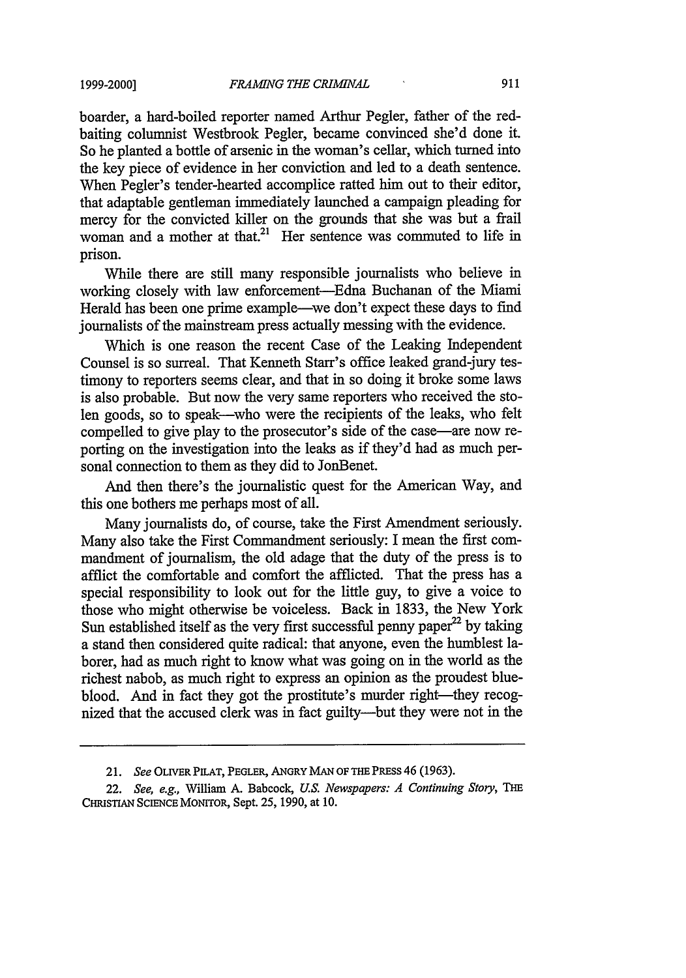boarder, a hard-boiled reporter named Arthur Pegler, father of the redbaiting columnist Westbrook Pegler, became convinced she'd done it. So he planted a bottle of arsenic in the woman's cellar, which turned into the key piece of evidence in her conviction and led to a death sentence. When Pegler's tender-hearted accomplice ratted him out to their editor, that adaptable gentleman immediately launched a campaign pleading for mercy for the convicted killer on the grounds that she was but a frail woman and a mother at that.<sup>21</sup> Her sentence was commuted to life in prison.

While there are still many responsible journalists who believe in working closely with law enforcement-Edna Buchanan of the Miami Herald has been one prime example—we don't expect these days to find journalists of the mainstream press actually messing with the evidence.

Which is one reason the recent Case of the Leaking Independent Counsel is so surreal. That Kenneth Starr's office leaked grand-jury testimony to reporters seems clear, and that in so doing it broke some laws is also probable. But now the very same reporters who received the stolen goods, so to speak-who were the recipients of the leaks, who felt compelled to give play to the prosecutor's side of the case-are now reporting on the investigation into the leaks as if they'd had as much personal connection to them as they did to JonBenet.

And then there's the journalistic quest for the American Way, and this one bothers me perhaps most of all.

Many journalists do, of course, take the First Amendment seriously. Many also take the First Commandment seriously: I mean the first commandment of journalism, the old adage that the duty of the press is to afflict the comfortable and comfort the afflicted. That the press has a special responsibility to look out for the little guy, to give a voice to those who might otherwise be voiceless. Back in 1833, the New York Sun established itself as the very first successful penny paper<sup>22</sup> by taking a stand then considered quite radical: that anyone, even the humblest laborer, had as much right to know what was going on in the world as the richest nabob, as much right to express an opinion as the proudest blueblood. And in fact they got the prostitute's murder right-they recognized that the accused clerk was in fact guilty---but they were not in the

*<sup>21.</sup> See* OLIVER **PILAT,** PEGLER, ANGRY **MAN** OF **THE** PREss 46 (1963).

<sup>22.</sup> See, e.g., William A. Babcock, *US. Newspapers: A Continuing Story, THE* **CHRISTIAN** SCIENCE MoNrroR, Sept. 25, 1990, at 10.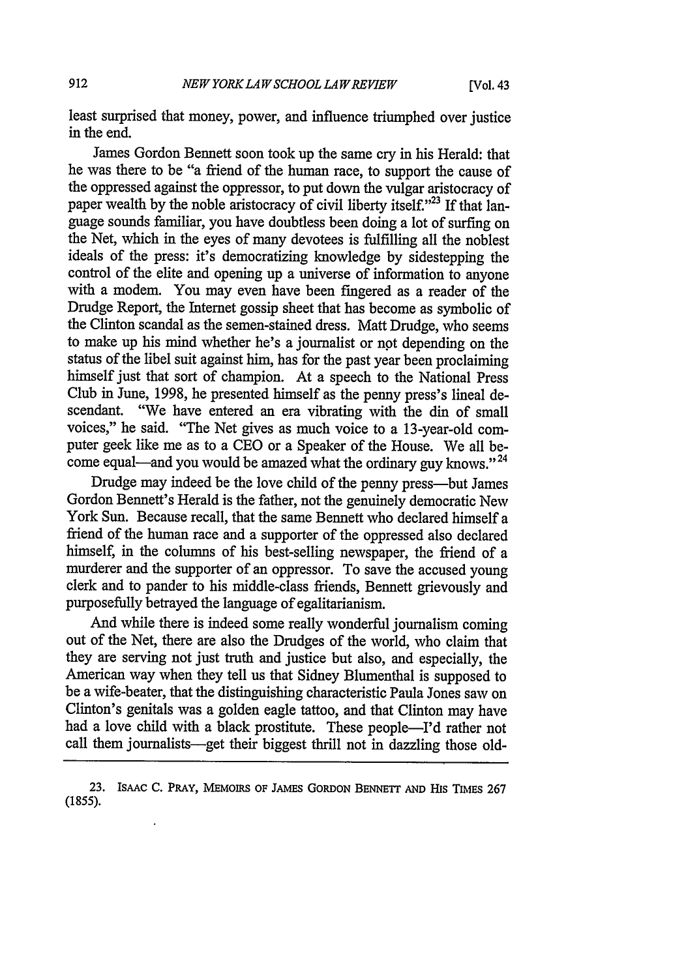least surprised that money, power, and influence triumphed over justice in the end.

James Gordon Bennett soon took up the same cry in his Herald: that he was there to be "a friend of the human race, to support the cause of the oppressed against the oppressor, to put down the vulgar aristocracy of paper wealth by the noble aristocracy of civil liberty itself."<sup>23</sup> If that language sounds familiar, you have doubtless been doing a lot of surfing on the Net, which in the eyes of many devotees is fulfilling all the noblest ideals of the press: it's democratizing knowledge by sidestepping the control of the elite and opening up a universe of information to anyone with a modem. You may even have been fingered as a reader of the Drudge Report, the Internet gossip sheet that has become as symbolic of the Clinton scandal as the semen-stained dress. Matt Drudge, who seems to make up his mind whether he's a journalist or not depending on the status of the libel suit against him, has for the past year been proclaiming himself just that sort of champion. At a speech to the National Press Club in June, 1998, he presented himself as the penny press's lineal descendant. "We have entered an era vibrating with the din of small voices," he said. "The Net gives as much voice to a 13-year-old computer geek like me as to a CEO or a Speaker of the House. We all become equal—and you would be amazed what the ordinary guy knows."<sup>24</sup>

Drudge may indeed be the love child of the penny press-but James Gordon Bennett's Herald is the father, not the genuinely democratic New York Sun. Because recall, that the same Bennett who declared himself a friend of the human race and a supporter of the oppressed also declared himself, in the columns of his best-selling newspaper, the friend of a murderer and the supporter of an oppressor. To save the accused young clerk and to pander to his middle-class friends, Bennett grievously and purposefully betrayed the language of egalitarianism.

And while there is indeed some really wonderful journalism coming out of the Net, there are also the Drudges of the world, who claim that they are serving not just truth and justice but also, and especially, the American way when they tell us that Sidney Blumenthal is supposed to be a wife-beater, that the distinguishing characteristic Paula Jones saw on Clinton's genitals was a golden eagle tattoo, and that Clinton may have had a love child with a black prostitute. These people-I'd rather not call them journalists-get their biggest thrill not in dazzling those old-

**<sup>23.</sup>** IsAAc **C.** PRAY, **MEMOIRS OF** JAMES GORDoN **BENNETT AND IIs TIMEs** 267 (1855).